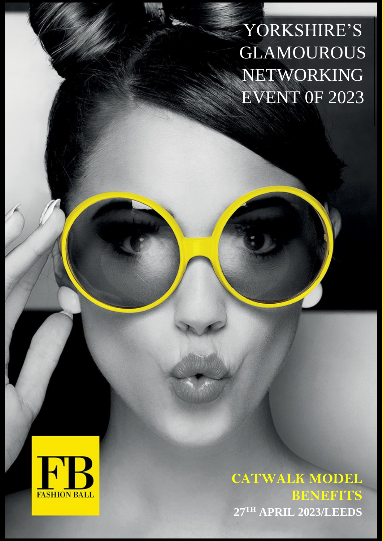YORKSHIRE'S GLAMOUROUS NETWORKING EVENT 0F 2023



**CATWALK MODEL BENEFITS 27TH APRIL 2023/LEEDS**